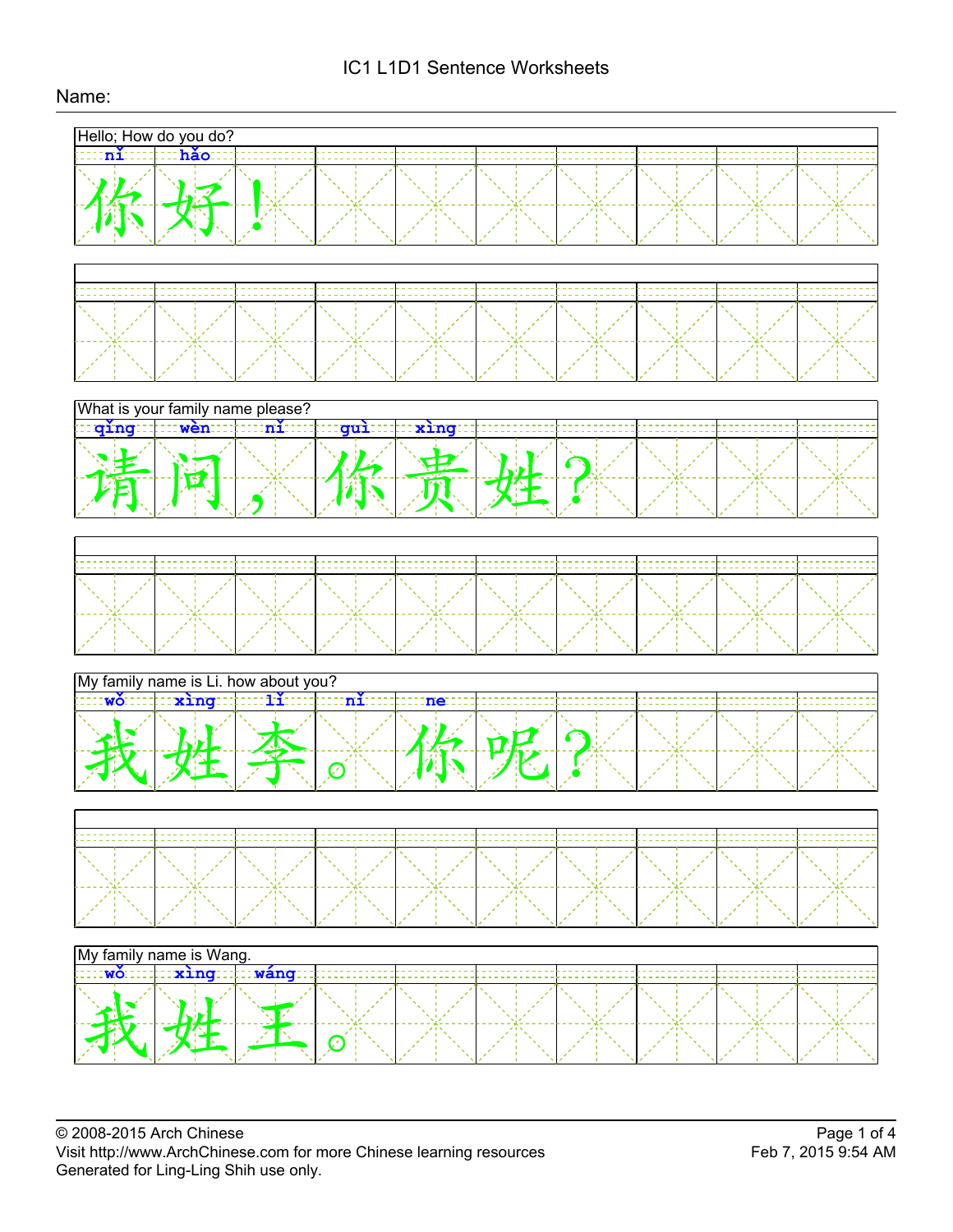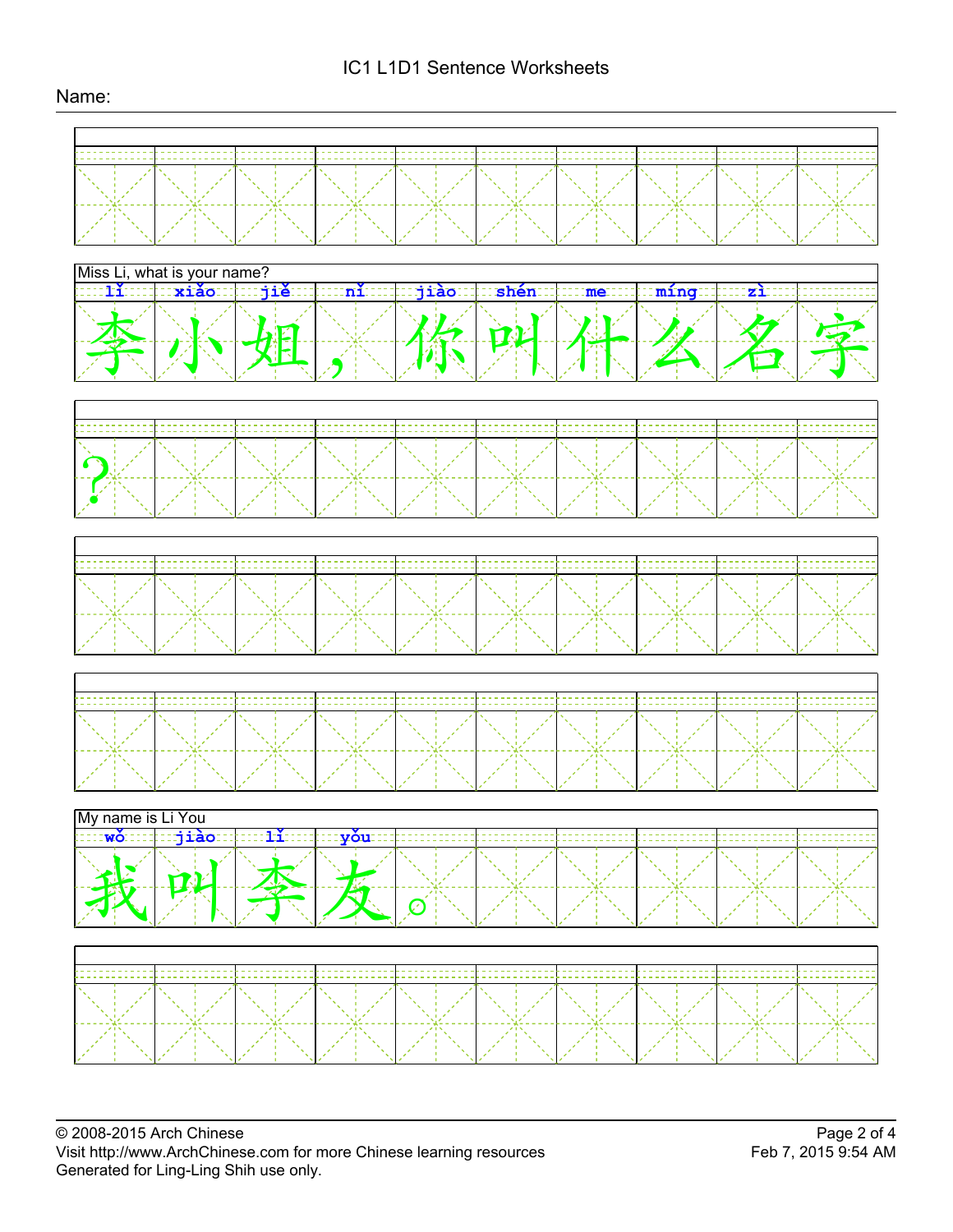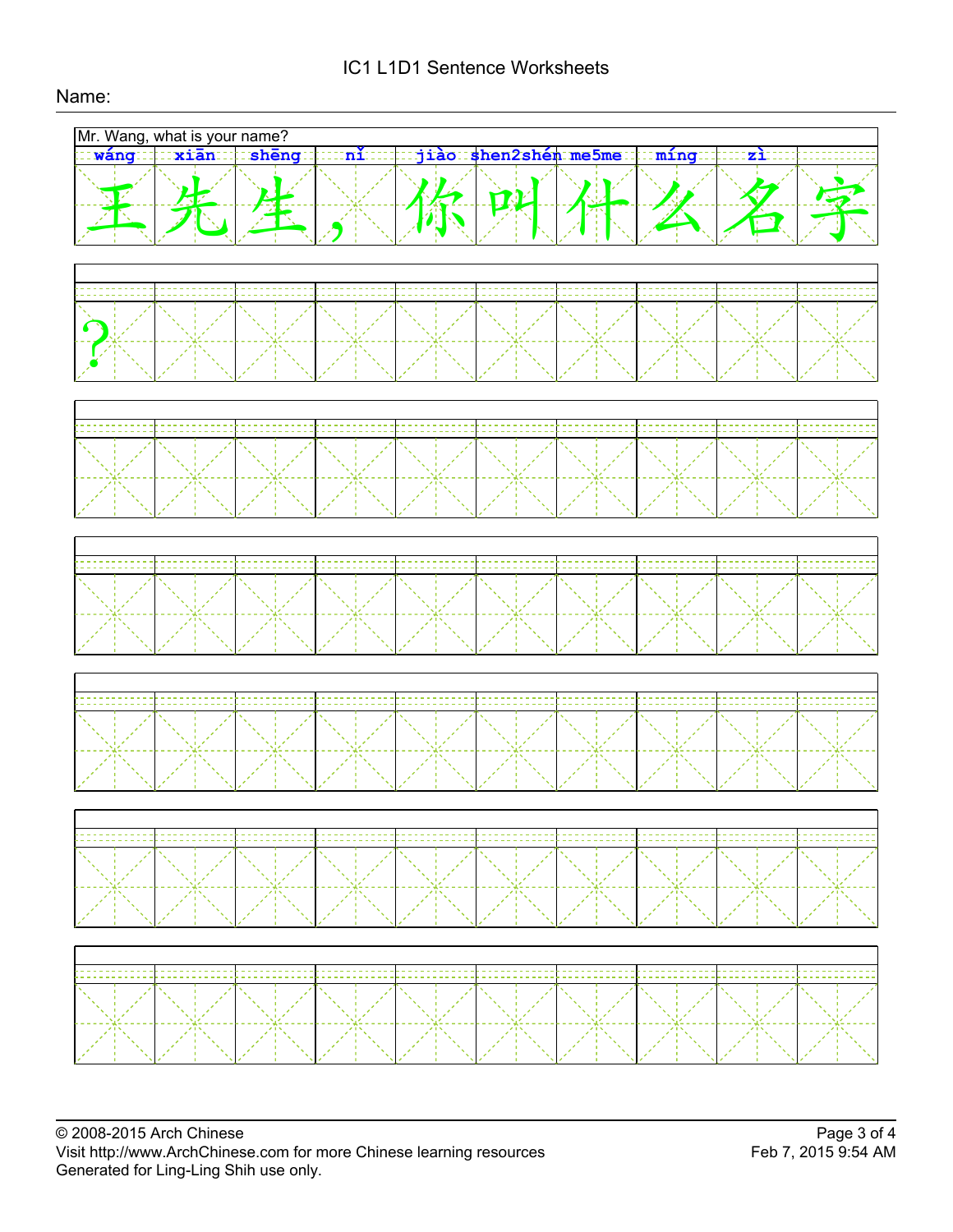